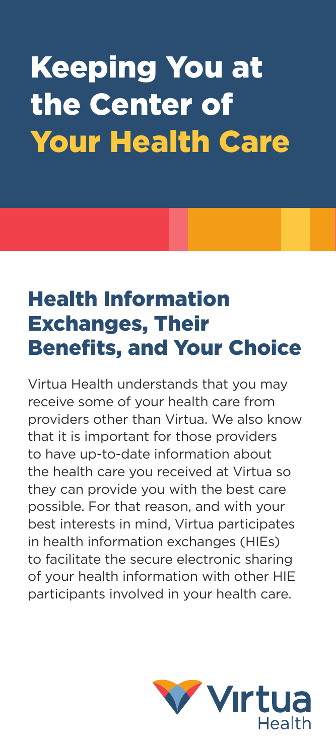# Keeping You at the Center of Your Health Care

## Health Information Exchanges, Their Benefits, and Your Choice

Virtua Health understands that you may receive some of your health care from providers other than Virtua. We also know that it is important for those providers to have up-to-date information about the health care you received at Virtua so they can provide you with the best care possible. For that reason, and with your best interests in mind, Virtua participates in health information exchanges (HIEs) to facilitate the secure electronic sharing of your health information with other HIE participants involved in your health care.

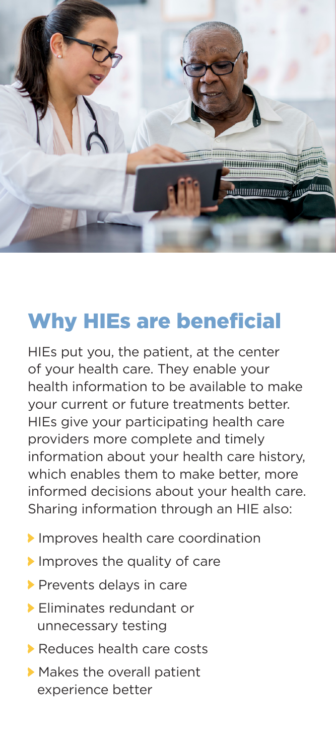

## Why HIEs are beneficial

HIEs put you, the patient, at the center of your health care. They enable your health information to be available to make your current or future treatments better. HIEs give your participating health care providers more complete and timely information about your health care history, which enables them to make better, more informed decisions about your health care. Sharing information through an HIE also:

- Improves health care coordination
- Improves the quality of care
- Prevents delays in care
- Eliminates redundant or unnecessary testing
- Reduces health care costs
- Makes the overall patient experience better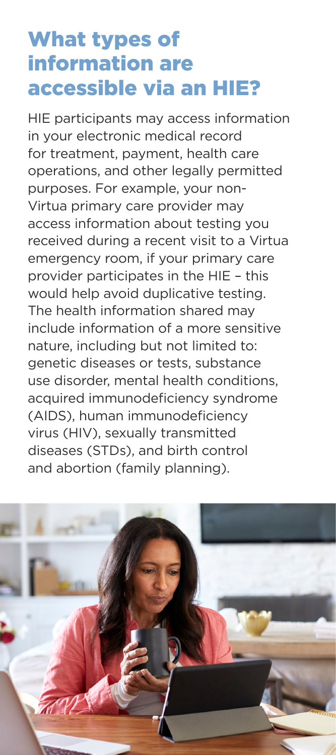### What types of information are accessible via an HIE?

HIE participants may access information in your electronic medical record for treatment, payment, health care operations, and other legally permitted purposes. For example, your non-Virtua primary care provider may access information about testing you received during a recent visit to a Virtua emergency room, if your primary care provider participates in the HIE – this would help avoid duplicative testing. The health information shared may include information of a more sensitive nature, including but not limited to: genetic diseases or tests, substance use disorder, mental health conditions, acquired immunodeficiency syndrome (AIDS), human immunodeficiency virus (HIV), sexually transmitted diseases (STDs), and birth control and abortion (family planning).

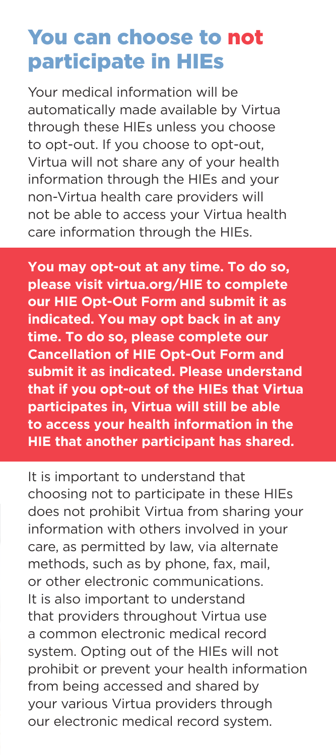### You can choose to not participate in HIEs

Your medical information will be automatically made available by Virtua through these HIEs unless you choose to opt-out. If you choose to opt-out, Virtua will not share any of your health information through the HIEs and your non-Virtua health care providers will not be able to access your Virtua health care information through the HIEs.

**You may opt-out at any time. To do so, please visit virtua.org/HIE to complete our HIE Opt-Out Form and submit it as indicated. You may opt back in at any time. To do so, please complete our Cancellation of HIE Opt-Out Form and submit it as indicated. Please understand that if you opt-out of the HIEs that Virtua participates in, Virtua will still be able to access your health information in the HIE that another participant has shared.**

It is important to understand that choosing not to participate in these HIEs does not prohibit Virtua from sharing your information with others involved in your care, as permitted by law, via alternate methods, such as by phone, fax, mail, or other electronic communications. It is also important to understand that providers throughout Virtua use a common electronic medical record system. Opting out of the HIEs will not prohibit or prevent your health information from being accessed and shared by your various Virtua providers through our electronic medical record system.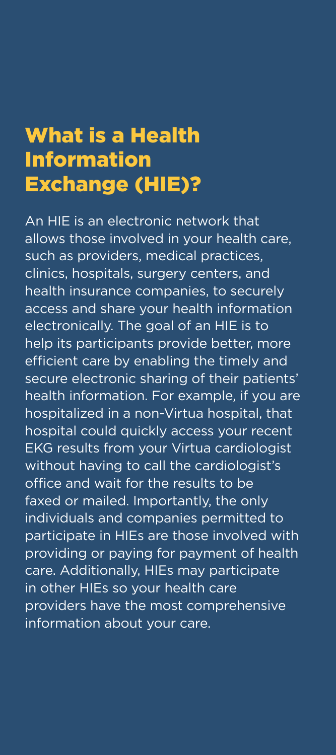#### What is a Health Information Exchange (HIE)?

An HIE is an electronic network that allows those involved in your health care, such as providers, medical practices, clinics, hospitals, surgery centers, and health insurance companies, to securely access and share your health information electronically. The goal of an HIE is to help its participants provide better, more efficient care by enabling the timely and secure electronic sharing of their patients' health information. For example, if you are hospitalized in a non-Virtua hospital, that hospital could quickly access your recent EKG results from your Virtua cardiologist without having to call the cardiologist's office and wait for the results to be faxed or mailed. Importantly, the only individuals and companies permitted to participate in HIEs are those involved with providing or paying for payment of health care. Additionally, HIEs may participate in other HIEs so your health care providers have the most comprehensive information about your care.